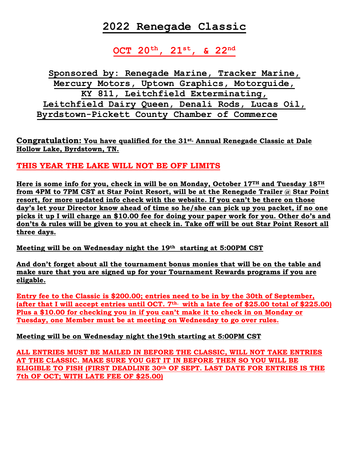# **2022 Renegade Classic**

### **OCT 20th, 21st, & 22nd**

**Sponsored by: Renegade Marine, Tracker Marine, Mercury Motors, Uptown Graphics, Motorguide, KY 811, Leitchfield Exterminating, Leitchfield Dairy Queen, Denali Rods, Lucas Oil, Byrdstown-Pickett County Chamber of Commerce**

**Congratulation: You have qualified for the 31st, Annual Renegade Classic at Dale Hollow Lake, Byrdstown, TN.**

### **THIS YEAR THE LAKE WILL NOT BE OFF LIMITS**

**Here is some info for you, check in will be on Monday, October 17TH and Tuesday 18TH from 4PM to 7PM CST at Star Point Resort, will be at the Renegade Trailer @ Star Point resort, for more updated info check with the website. If you can't be there on those day's let your Director know ahead of time so he/she can pick up you packet, if no one picks it up I will charge an \$10.00 fee for doing your paper work for you. Other do's and don'ts & rules will be given to you at check in. Take off will be out Star Point Resort all three days.**

**Meeting will be on Wednesday night the 19th starting at 5:00PM CST** 

**And don't forget about all the tournament bonus monies that will be on the table and make sure that you are signed up for your Tournament Rewards programs if you are eligable.** 

**Entry fee to the Classic is \$200.00; entries need to be in by the 30th of September, (after that I will accept entries until OCT. 7th. with a late fee of \$25.00 total of \$225.00) Plus a \$10.00 for checking you in if you can't make it to check in on Monday or Tuesday, one Member must be at meeting on Wednesday to go over rules.**

**Meeting will be on Wednesday night the19th starting at 5:00PM CST** 

**ALL ENTRIES MUST BE MAILED IN BEFORE THE CLASSIC, WILL NOT TAKE ENTRIES AT THE CLASSIC. MAKE SURE YOU GET IT IN BEFORE THEN SO YOU WILL BE ELIGIBLE TO FISH (FIRST DEADLINE 30th OF SEPT. LAST DATE FOR ENTRIES IS THE 7th OF OCT; WITH LATE FEE OF \$25.00)**